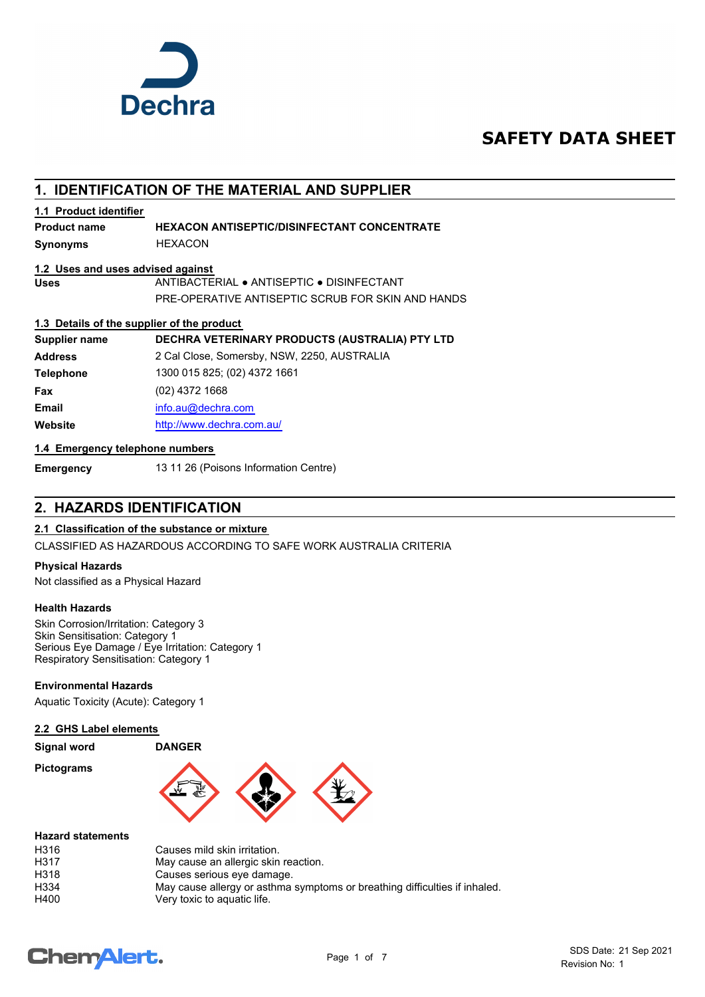

# **SAFETY DATA SHEET**

## **1. IDENTIFICATION OF THE MATERIAL AND SUPPLIER**

#### **1.1 Product identifier**

#### **Product name HEXACON ANTISEPTIC/DISINFECTANT CONCENTRATE**

**Synonyms** HEXACON

#### **1.2 Uses and uses advised against**

**Uses** ANTIBACTERIAL ● ANTISEPTIC ● DISINFECTANT PRE-OPERATIVE ANTISEPTIC SCRUB FOR SKIN AND HANDS

#### **1.3 Details of the supplier of the product**

| DECHRA VETERINARY PRODUCTS (AUSTRALIA) PTY LTD |
|------------------------------------------------|
| 2 Cal Close, Somersby, NSW, 2250, AUSTRALIA    |
| 1300 015 825; (02) 4372 1661                   |
| (02) 4372 1668                                 |
| info.au@dechra.com                             |
| http://www.dechra.com.au/                      |
|                                                |

#### **1.4 Emergency telephone numbers**

**Emergency** 13 11 26 (Poisons Information Centre)

## **2. HAZARDS IDENTIFICATION**

#### **2.1 Classification of the substance or mixture**

CLASSIFIED AS HAZARDOUS ACCORDING TO SAFE WORK AUSTRALIA CRITERIA

#### **Physical Hazards**

Not classified as a Physical Hazard

#### **Health Hazards**

Skin Corrosion/Irritation: Category 3 Skin Sensitisation: Category 1 Serious Eye Damage / Eye Irritation: Category 1 Respiratory Sensitisation: Category 1

#### **Environmental Hazards**

Aquatic Toxicity (Acute): Category 1

#### **2.2 GHS Label elements**

#### **Signal word DANGER**

**Pictograms**



#### **Hazard statements**

| H316             | Causes mild skin irritation.                                               |
|------------------|----------------------------------------------------------------------------|
| H317             | May cause an allergic skin reaction.                                       |
| H318             | Causes serious eye damage.                                                 |
| H <sub>334</sub> | May cause allergy or asthma symptoms or breathing difficulties if inhaled. |
| H400             | Very toxic to aguatic life.                                                |

# **ChemAlert.**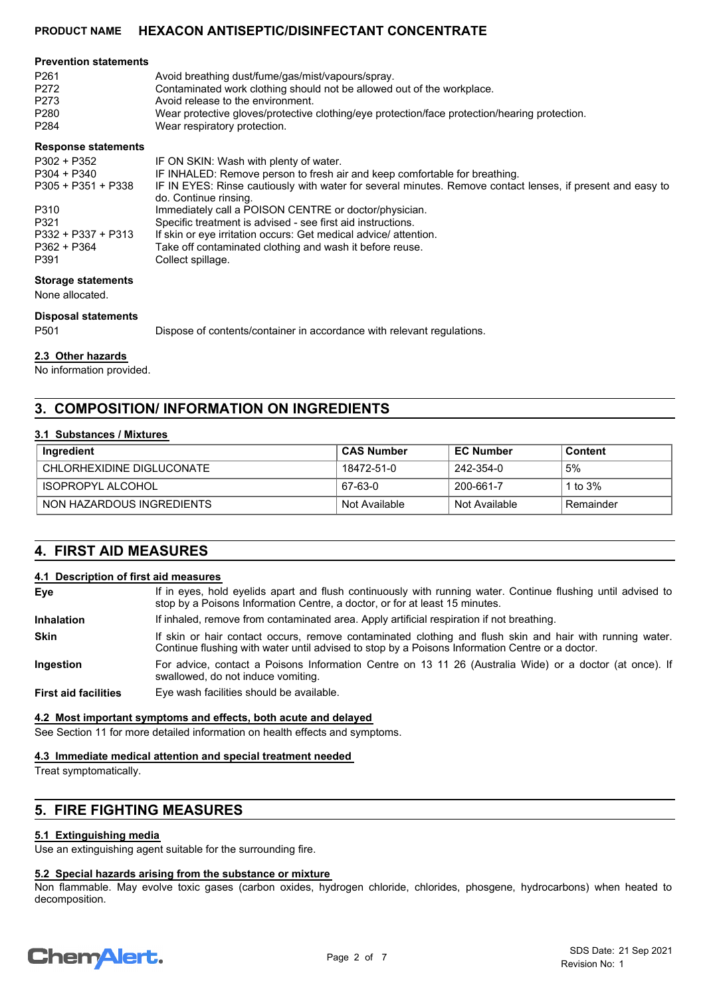| <b>Prevention statements</b> |                                                                                                                                     |
|------------------------------|-------------------------------------------------------------------------------------------------------------------------------------|
| P <sub>261</sub>             | Avoid breathing dust/fume/gas/mist/vapours/spray.                                                                                   |
| P272                         | Contaminated work clothing should not be allowed out of the workplace.                                                              |
| P273                         | Avoid release to the environment.                                                                                                   |
| P280                         | Wear protective gloves/protective clothing/eye protection/face protection/hearing protection.                                       |
| P284                         | Wear respiratory protection.                                                                                                        |
| <b>Response statements</b>   |                                                                                                                                     |
| P302 + P352                  | IF ON SKIN: Wash with plenty of water.                                                                                              |
| P304 + P340                  | IF INHALED: Remove person to fresh air and keep comfortable for breathing.                                                          |
| P305 + P351 + P338           | IF IN EYES: Rinse cautiously with water for several minutes. Remove contact lenses, if present and easy to<br>do. Continue rinsing. |

P310 Immediately call a POISON CENTRE or doctor/physician. P321 Specific treatment is advised - see first aid instructions.

P332 + P337 + P313 If skin or eye irritation occurs: Get medical advice/ attention.<br>P362 + P364 Take off contaminated clothing and wash it before reuse. Take off contaminated clothing and wash it before reuse.

P391 Collect spillage.

#### **Storage statements**

None allocated.

#### **Disposal statements**

P501 Dispose of contents/container in accordance with relevant regulations.

#### **2.3 Other hazards**

No information provided.

## **3. COMPOSITION/ INFORMATION ON INGREDIENTS**

#### **3.1 Substances / Mixtures**

| Ingredient                  | <b>CAS Number</b> | <b>EC Number</b> | <b>Content</b> |
|-----------------------------|-------------------|------------------|----------------|
| CHI ORHEXIDINE DIGI UCONATE | 18472-51-0        | 242-354-0        | 5%             |
| ISOPROPYL ALCOHOL           | 67-63-0           | 200-661-7        | 1 to $3\%$     |
| NON HAZARDOUS INGREDIENTS   | Not Available     | Not Available    | Remainder      |

## **4. FIRST AID MEASURES**

#### **4.1 Description of first aid measures**

| Eye                         | If in eyes, hold eyelids apart and flush continuously with running water. Continue flushing until advised to<br>stop by a Poisons Information Centre, a doctor, or for at least 15 minutes.                 |
|-----------------------------|-------------------------------------------------------------------------------------------------------------------------------------------------------------------------------------------------------------|
| <b>Inhalation</b>           | If inhaled, remove from contaminated area. Apply artificial respiration if not breathing.                                                                                                                   |
| <b>Skin</b>                 | If skin or hair contact occurs, remove contaminated clothing and flush skin and hair with running water.<br>Continue flushing with water until advised to stop by a Poisons Information Centre or a doctor. |
| Ingestion                   | For advice, contact a Poisons Information Centre on 13 11 26 (Australia Wide) or a doctor (at once). If<br>swallowed, do not induce vomiting.                                                               |
| <b>First aid facilities</b> | Eye wash facilities should be available.                                                                                                                                                                    |

#### **4.2 Most important symptoms and effects, both acute and delayed**

See Section 11 for more detailed information on health effects and symptoms.

#### **4.3 Immediate medical attention and special treatment needed**

Treat symptomatically.

## **5. FIRE FIGHTING MEASURES**

#### **5.1 Extinguishing media**

Use an extinguishing agent suitable for the surrounding fire.

#### **5.2 Special hazards arising from the substance or mixture**

Non flammable. May evolve toxic gases (carbon oxides, hydrogen chloride, chlorides, phosgene, hydrocarbons) when heated to decomposition.

# **ChemAlert.**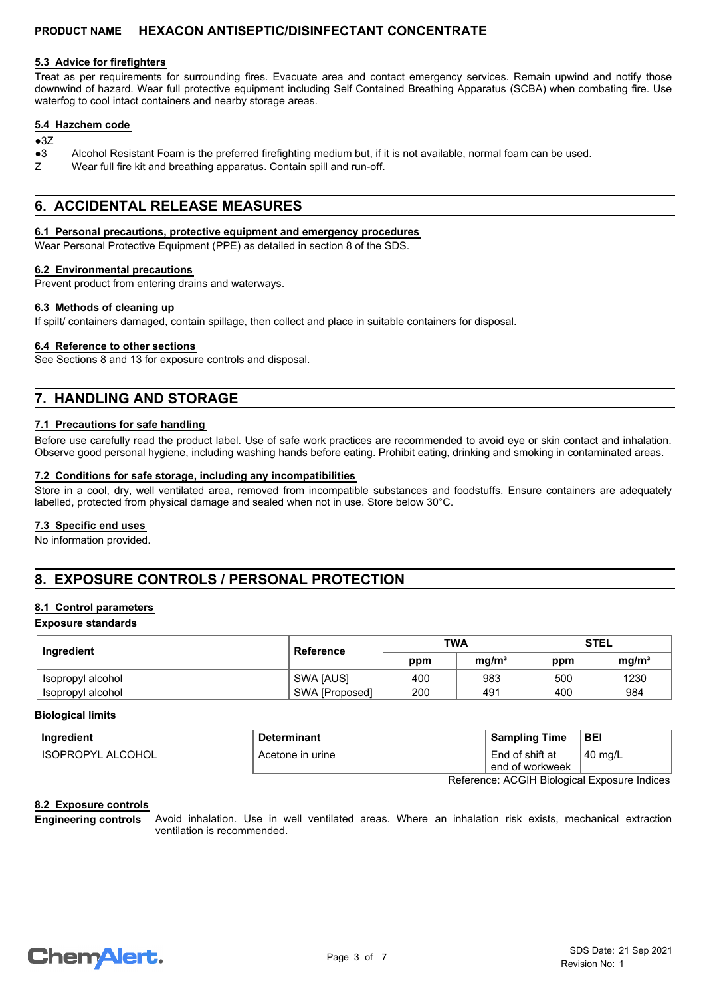#### **5.3 Advice for firefighters**

Treat as per requirements for surrounding fires. Evacuate area and contact emergency services. Remain upwind and notify those downwind of hazard. Wear full protective equipment including Self Contained Breathing Apparatus (SCBA) when combating fire. Use waterfog to cool intact containers and nearby storage areas.

#### **5.4 Hazchem code**

#### ●3Z

- ●3 Alcohol Resistant Foam is the preferred firefighting medium but, if it is not available, normal foam can be used.
- Z Wear full fire kit and breathing apparatus. Contain spill and run-off.

## **6. ACCIDENTAL RELEASE MEASURES**

#### **6.1 Personal precautions, protective equipment and emergency procedures**

Wear Personal Protective Equipment (PPE) as detailed in section 8 of the SDS.

#### **6.2 Environmental precautions**

Prevent product from entering drains and waterways.

#### **6.3 Methods of cleaning up**

If spilt/ containers damaged, contain spillage, then collect and place in suitable containers for disposal.

#### **6.4 Reference to other sections**

See Sections 8 and 13 for exposure controls and disposal.

## **7. HANDLING AND STORAGE**

#### **7.1 Precautions for safe handling**

Before use carefully read the product label. Use of safe work practices are recommended to avoid eye or skin contact and inhalation. Observe good personal hygiene, including washing hands before eating. Prohibit eating, drinking and smoking in contaminated areas.

#### **7.2 Conditions for safe storage, including any incompatibilities**

Store in a cool, dry, well ventilated area, removed from incompatible substances and foodstuffs. Ensure containers are adequately labelled, protected from physical damage and sealed when not in use. Store below 30°C.

#### **7.3 Specific end uses**

No information provided.

## **8. EXPOSURE CONTROLS / PERSONAL PROTECTION**

#### **8.1 Control parameters**

#### **Exposure standards**

| Ingredient        | <b>Reference</b> | <b>TWA</b> |                   | <b>STEL</b> |                   |
|-------------------|------------------|------------|-------------------|-------------|-------------------|
|                   |                  | ppm        | mq/m <sup>3</sup> | ppm         | mq/m <sup>3</sup> |
| Isopropyl alcohol | SWA [AUS]        | 400        | 983               | 500         | 1230              |
| Isopropyl alcohol | SWA [Proposed]   | 200        | 491               | 400         | 984               |

#### **Biological limits**

| Ingredient          | <b>Determinant</b> | <b>Sampling Time</b>               | <b>BEI</b>    |
|---------------------|--------------------|------------------------------------|---------------|
| ' ISOPROPYL ALCOHOL | Acetone in urine   | End of shift at<br>end of workweek | $\pm$ 40 mg/L |

Reference: ACGIH Biological Exposure Indices

#### **8.2 Exposure controls**

Avoid inhalation. Use in well ventilated areas. Where an inhalation risk exists, mechanical extraction ventilation is recommended. **Engineering controls**

# **ChemAlert.**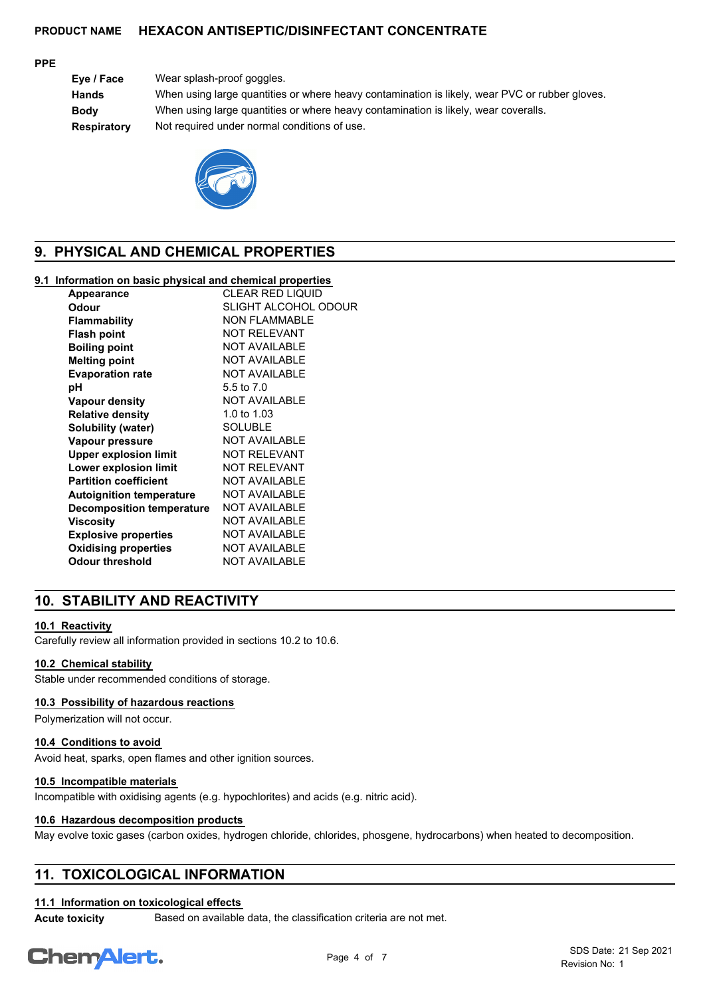#### **PPE**

**Eye / Face** Wear splash-proof goggles. **Hands** When using large quantities or where heavy contamination is likely, wear PVC or rubber gloves. **Body** When using large quantities or where heavy contamination is likely, wear coveralls. **Respiratory** Not required under normal conditions of use.



## **9. PHYSICAL AND CHEMICAL PROPERTIES**

#### **9.1 Information on basic physical and chemical properties**

| Appearance                       | <b>CLEAR RED LIQUID</b> |
|----------------------------------|-------------------------|
| Odour                            | SLIGHT ALCOHOL ODOUR    |
| Flammability                     | <b>NON FLAMMABLE</b>    |
| <b>Flash point</b>               | <b>NOT RELEVANT</b>     |
| <b>Boiling point</b>             | <b>NOT AVAILABLE</b>    |
| <b>Melting point</b>             | <b>NOT AVAILABLE</b>    |
| <b>Evaporation rate</b>          | <b>NOT AVAILABLE</b>    |
| рH                               | 5.5 to 7.0              |
| Vapour density                   | <b>NOT AVAILABLE</b>    |
| <b>Relative density</b>          | 1.0 to $1.03$           |
| Solubility (water)               | <b>SOLUBLE</b>          |
| Vapour pressure                  | <b>NOT AVAILABLE</b>    |
| <b>Upper explosion limit</b>     | <b>NOT RELEVANT</b>     |
| Lower explosion limit            | <b>NOT RELEVANT</b>     |
| <b>Partition coefficient</b>     | <b>NOT AVAILABLE</b>    |
| <b>Autoignition temperature</b>  | <b>NOT AVAILABLE</b>    |
| <b>Decomposition temperature</b> | <b>NOT AVAILABLE</b>    |
| Viscositv                        | <b>NOT AVAILABLE</b>    |
| <b>Explosive properties</b>      | <b>NOT AVAILABLE</b>    |
| <b>Oxidising properties</b>      | <b>NOT AVAILABLE</b>    |
| Odour threshold                  | <b>NOT AVAILABLE</b>    |
|                                  |                         |

## **10. STABILITY AND REACTIVITY**

#### **10.1 Reactivity**

Carefully review all information provided in sections 10.2 to 10.6.

#### **10.2 Chemical stability**

Stable under recommended conditions of storage.

#### **10.3 Possibility of hazardous reactions**

Polymerization will not occur.

#### **10.4 Conditions to avoid**

Avoid heat, sparks, open flames and other ignition sources.

#### **10.5 Incompatible materials**

Incompatible with oxidising agents (e.g. hypochlorites) and acids (e.g. nitric acid).

#### **10.6 Hazardous decomposition products**

May evolve toxic gases (carbon oxides, hydrogen chloride, chlorides, phosgene, hydrocarbons) when heated to decomposition.

## **11. TOXICOLOGICAL INFORMATION**

#### **11.1 Information on toxicological effects**

**Acute toxicity** Based on available data, the classification criteria are not met.

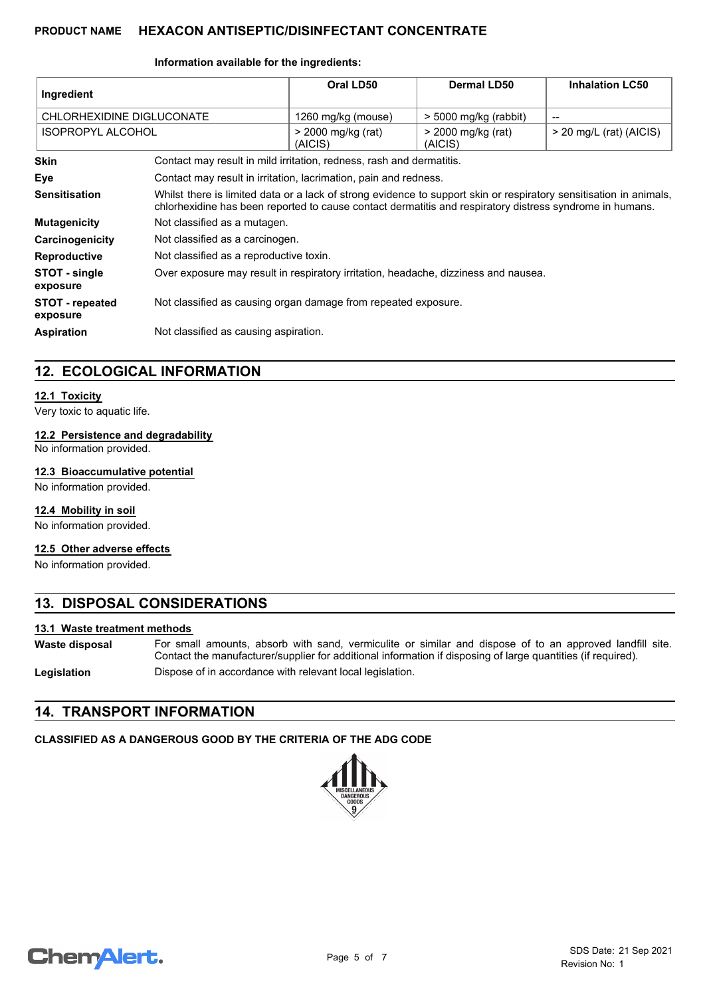#### **Information available for the ingredients:**

| Ingredient                         |                                                                                                                                                                                                                                | Oral LD50                                                        | Dermal LD50                   | <b>Inhalation LC50</b>    |
|------------------------------------|--------------------------------------------------------------------------------------------------------------------------------------------------------------------------------------------------------------------------------|------------------------------------------------------------------|-------------------------------|---------------------------|
| CHLORHEXIDINE DIGLUCONATE          |                                                                                                                                                                                                                                | 1260 mg/kg (mouse)                                               | > 5000 mg/kg (rabbit)         |                           |
| <b>ISOPROPYL ALCOHOL</b>           |                                                                                                                                                                                                                                | > 2000 mg/kg (rat)<br>(AICIS)                                    | > 2000 mg/kg (rat)<br>(AICIS) | $>$ 20 mg/L (rat) (AICIS) |
| <b>Skin</b>                        | Contact may result in mild irritation, redness, rash and dermatitis.                                                                                                                                                           |                                                                  |                               |                           |
| Eye                                |                                                                                                                                                                                                                                | Contact may result in irritation, lacrimation, pain and redness. |                               |                           |
| <b>Sensitisation</b>               | Whilst there is limited data or a lack of strong evidence to support skin or respiratory sensitisation in animals,<br>chlorhexidine has been reported to cause contact dermatitis and respiratory distress syndrome in humans. |                                                                  |                               |                           |
| <b>Mutagenicity</b>                | Not classified as a mutagen.                                                                                                                                                                                                   |                                                                  |                               |                           |
| Carcinogenicity                    | Not classified as a carcinogen.                                                                                                                                                                                                |                                                                  |                               |                           |
| <b>Reproductive</b>                | Not classified as a reproductive toxin.                                                                                                                                                                                        |                                                                  |                               |                           |
| STOT - single<br>exposure          | Over exposure may result in respiratory irritation, headache, dizziness and nausea.                                                                                                                                            |                                                                  |                               |                           |
| <b>STOT - repeated</b><br>exposure | Not classified as causing organ damage from repeated exposure.                                                                                                                                                                 |                                                                  |                               |                           |
| <b>Aspiration</b>                  | Not classified as causing aspiration.                                                                                                                                                                                          |                                                                  |                               |                           |

## **12. ECOLOGICAL INFORMATION**

#### **12.1 Toxicity**

Very toxic to aquatic life.

#### **12.2 Persistence and degradability**

No information provided.

#### **12.3 Bioaccumulative potential**

No information provided.

#### **12.4 Mobility in soil**

No information provided.

#### **12.5 Other adverse effects**

No information provided.

## **13. DISPOSAL CONSIDERATIONS**

#### **13.1 Waste treatment methods**

For small amounts, absorb with sand, vermiculite or similar and dispose of to an approved landfill site. Contact the manufacturer/supplier for additional information if disposing of large quantities (if required). **Waste disposal**

**Legislation** Dispose of in accordance with relevant local legislation.

## **14. TRANSPORT INFORMATION**

# **CLASSIFIED AS A DANGEROUS GOOD BY THE CRITERIA OF THE ADG CODE**



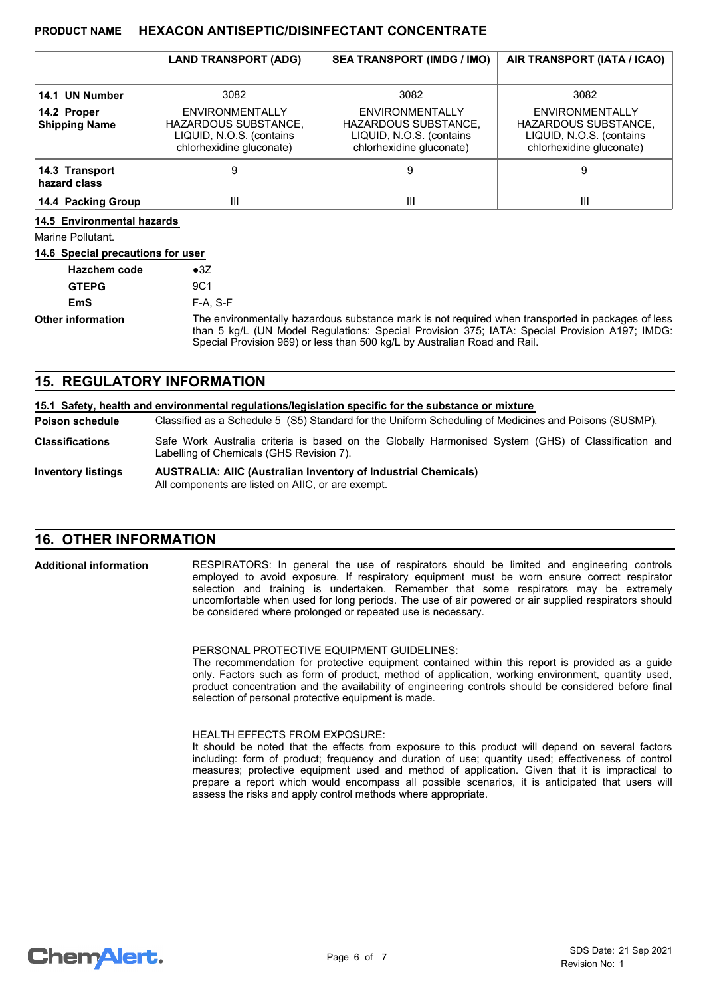|                                     | <b>LAND TRANSPORT (ADG)</b>                                                                            | <b>SEA TRANSPORT (IMDG / IMO)</b>                                                                             | AIR TRANSPORT (IATA / ICAO)                                                                                   |
|-------------------------------------|--------------------------------------------------------------------------------------------------------|---------------------------------------------------------------------------------------------------------------|---------------------------------------------------------------------------------------------------------------|
| 14.1 UN Number                      | 3082                                                                                                   | 3082                                                                                                          | 3082                                                                                                          |
| 14.2 Proper<br><b>Shipping Name</b> | <b>ENVIRONMENTALLY</b><br>HAZARDOUS SUBSTANCE,<br>LIQUID, N.O.S. (contains<br>chlorhexidine gluconate) | <b>ENVIRONMENTALLY</b><br><b>HAZARDOUS SUBSTANCE,</b><br>LIQUID, N.O.S. (contains<br>chlorhexidine gluconate) | <b>ENVIRONMENTALLY</b><br><b>HAZARDOUS SUBSTANCE,</b><br>LIQUID, N.O.S. (contains<br>chlorhexidine gluconate) |
| 14.3 Transport<br>hazard class      |                                                                                                        | 9                                                                                                             |                                                                                                               |
| 14.4 Packing Group                  | Ш                                                                                                      | Ш                                                                                                             | Ш                                                                                                             |

#### **14.5 Environmental hazards**

Marine Pollutant.

#### **14.6 Special precautions for user**

| <b>Hazchem code</b>      | $\bullet$ 3Z                                                                                                                                                                                                                                                                    |
|--------------------------|---------------------------------------------------------------------------------------------------------------------------------------------------------------------------------------------------------------------------------------------------------------------------------|
| <b>GTEPG</b>             | 9C1                                                                                                                                                                                                                                                                             |
| EmS                      | $F-A. S-F$                                                                                                                                                                                                                                                                      |
| <b>Other information</b> | The environmentally hazardous substance mark is not required when transported in packages of less<br>than 5 kg/L (UN Model Regulations: Special Provision 375; IATA: Special Provision A197; IMDG:<br>Special Provision 969) or less than 500 kg/L by Australian Road and Rail. |

### **15. REGULATORY INFORMATION**

| 15.1 Safety, health and environmental regulations/legislation specific for the substance or mixture |                                                                                                                                                 |  |
|-----------------------------------------------------------------------------------------------------|-------------------------------------------------------------------------------------------------------------------------------------------------|--|
| <b>Poison schedule</b>                                                                              | Classified as a Schedule 5 (S5) Standard for the Uniform Scheduling of Medicines and Poisons (SUSMP).                                           |  |
| <b>Classifications</b>                                                                              | Safe Work Australia criteria is based on the Globally Harmonised System (GHS) of Classification and<br>Labelling of Chemicals (GHS Revision 7). |  |
| <b>Inventory listings</b>                                                                           | <b>AUSTRALIA: AIIC (Australian Inventory of Industrial Chemicals)</b><br>All components are listed on AIIC, or are exempt.                      |  |

## **16. OTHER INFORMATION**

RESPIRATORS: In general the use of respirators should be limited and engineering controls employed to avoid exposure. If respiratory equipment must be worn ensure correct respirator selection and training is undertaken. Remember that some respirators may be extremely uncomfortable when used for long periods. The use of air powered or air supplied respirators should be considered where prolonged or repeated use is necessary. **Additional information**

PERSONAL PROTECTIVE EQUIPMENT GUIDELINES:

The recommendation for protective equipment contained within this report is provided as a guide only. Factors such as form of product, method of application, working environment, quantity used, product concentration and the availability of engineering controls should be considered before final selection of personal protective equipment is made.

#### HEALTH EFFECTS FROM EXPOSURE:

It should be noted that the effects from exposure to this product will depend on several factors including: form of product; frequency and duration of use; quantity used; effectiveness of control measures; protective equipment used and method of application. Given that it is impractical to prepare a report which would encompass all possible scenarios, it is anticipated that users will assess the risks and apply control methods where appropriate.